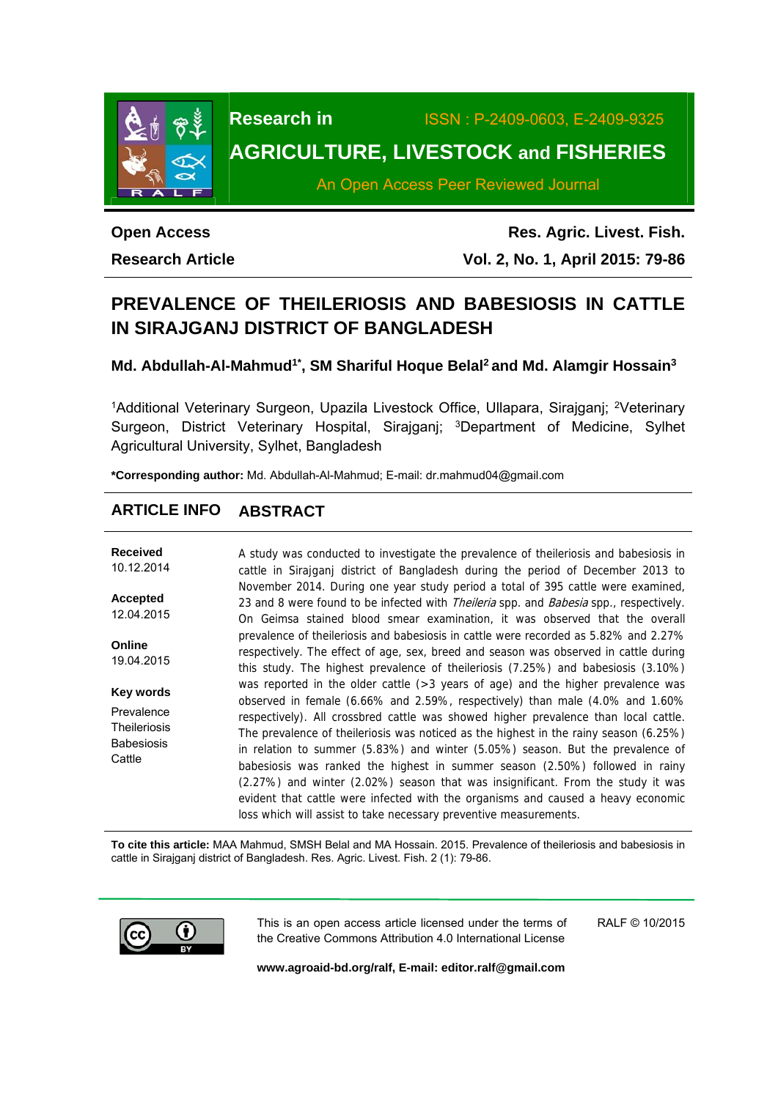

# **Research in** ISSN : P-2409-0603, E-2409-9325 **AGRICULTURE, LIVESTOCK and FISHERIES**

An Open Access Peer Reviewed Journal

**Open Access Research Article** 

**Res. Agric. Livest. Fish. Vol. 2, No. 1, April 2015: 79-86**

## **PREVALENCE OF THEILERIOSIS AND BABESIOSIS IN CATTLE IN SIRAJGANJ DISTRICT OF BANGLADESH**

Md. Abdullah-Al-Mahmud<sup>1\*</sup>, SM Shariful Hoque Belal<sup>2</sup> and Md. Alamgir Hossain<sup>3</sup>

<sup>1</sup>Additional Veterinary Surgeon, Upazila Livestock Office, Ullapara, Sirajganj; <sup>2</sup>Veterinary Surgeon, District Veterinary Hospital, Sirajganj; <sup>3</sup>Department of Medicine, Sylhet Agricultural University, Sylhet, Bangladesh

**\*Corresponding author:** Md. Abdullah-Al-Mahmud; E-mail: dr.mahmud04@gmail.com

## **ARTICLE INFO ABSTRACT**

| <b>Received</b><br>10.12.2014                                    | A study was conducted to investigate the prevalence of the leriosis and babesiosis in<br>cattle in Sirajganj district of Bangladesh during the period of December 2013 to                                                                                                                                                                                                                                                                                                                                                                                                                                                                                                  |
|------------------------------------------------------------------|----------------------------------------------------------------------------------------------------------------------------------------------------------------------------------------------------------------------------------------------------------------------------------------------------------------------------------------------------------------------------------------------------------------------------------------------------------------------------------------------------------------------------------------------------------------------------------------------------------------------------------------------------------------------------|
| <b>Accepted</b><br>12.04.2015                                    | November 2014. During one year study period a total of 395 cattle were examined,<br>23 and 8 were found to be infected with <i>Theileria</i> spp. and <i>Babesia</i> spp., respectively.<br>On Geimsa stained blood smear examination, it was observed that the overall                                                                                                                                                                                                                                                                                                                                                                                                    |
| Online<br>19.04.2015                                             | prevalence of theileriosis and babesiosis in cattle were recorded as 5.82% and 2.27%<br>respectively. The effect of age, sex, breed and season was observed in cattle during<br>this study. The highest prevalence of theileriosis (7.25%) and babesiosis (3.10%)                                                                                                                                                                                                                                                                                                                                                                                                          |
| Key words                                                        | was reported in the older cattle $(>3$ years of age) and the higher prevalence was                                                                                                                                                                                                                                                                                                                                                                                                                                                                                                                                                                                         |
| Prevalence<br><b>Theileriosis</b><br><b>Babesiosis</b><br>Cattle | observed in female (6.66% and 2.59%, respectively) than male (4.0% and 1.60%<br>respectively). All crossbred cattle was showed higher prevalence than local cattle.<br>The prevalence of theileriosis was noticed as the highest in the rainy season (6.25%)<br>in relation to summer (5.83%) and winter (5.05%) season. But the prevalence of<br>babesiosis was ranked the highest in summer season (2.50%) followed in rainy<br>(2.27%) and winter (2.02%) season that was insignificant. From the study it was<br>evident that cattle were infected with the organisms and caused a heavy economic<br>loss which will assist to take necessary preventive measurements. |

**To cite this article:** MAA Mahmud, SMSH Belal and MA Hossain. 2015. Prevalence of theileriosis and babesiosis in cattle in Sirajganj district of Bangladesh. Res. Agric. Livest. Fish. 2 (1): 79-86.



This is an open access article licensed under the terms of the Creative Commons Attribution 4.0 International License RALF © 10/2015

**www.agroaid-bd.org/ralf, E-mail: editor.ralf@gmail.com**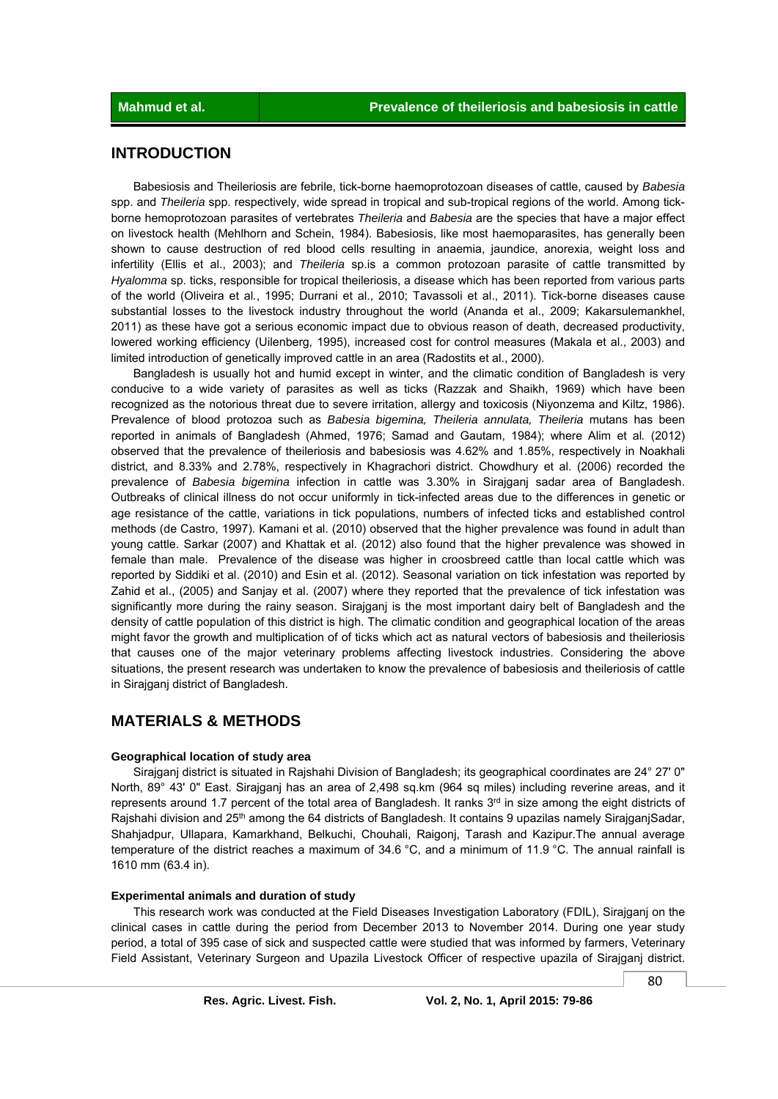## **INTRODUCTION**

 Babesiosis and Theileriosis are febrile, tick-borne haemoprotozoan diseases of cattle, caused by *Babesia*  spp. and *Theileria* spp. respectively, wide spread in tropical and sub-tropical regions of the world. Among tickborne hemoprotozoan parasites of vertebrates *Theileria* and *Babesia* are the species that have a major effect on livestock health (Mehlhorn and Schein, 1984). Babesiosis, like most haemoparasites, has generally been shown to cause destruction of red blood cells resulting in anaemia, jaundice, anorexia, weight loss and infertility (Ellis et al., 2003); and *Theileria* sp.is a common protozoan parasite of cattle transmitted by *Hyalomma* sp. ticks, responsible for tropical theileriosis, a disease which has been reported from various parts of the world (Oliveira et al*.*, 1995; Durrani et al., 2010; Tavassoli et al., 2011). Tick-borne diseases cause substantial losses to the livestock industry throughout the world (Ananda et al., 2009; Kakarsulemankhel, 2011) as these have got a serious economic impact due to obvious reason of death, decreased productivity, lowered working efficiency (Uilenberg, 1995), increased cost for control measures (Makala et al., 2003) and limited introduction of genetically improved cattle in an area (Radostits et al., 2000).

 Bangladesh is usually hot and humid except in winter, and the climatic condition of Bangladesh is very conducive to a wide variety of parasites as well as ticks (Razzak and Shaikh, 1969) which have been recognized as the notorious threat due to severe irritation, allergy and toxicosis (Niyonzema and Kiltz, 1986). Prevalence of blood protozoa such as *Babesia bigemina, Theileria annulata, Theileria* mutans has been reported in animals of Bangladesh (Ahmed, 1976; Samad and Gautam, 1984); where Alim et al*.* (2012) observed that the prevalence of theileriosis and babesiosis was 4.62% and 1.85%, respectively in Noakhali district, and 8.33% and 2.78%, respectively in Khagrachori district. Chowdhury et al. (2006) recorded the prevalence of *Babesia bigemina* infection in cattle was 3.30% in Sirajganj sadar area of Bangladesh. Outbreaks of clinical illness do not occur uniformly in tick-infected areas due to the differences in genetic or age resistance of the cattle, variations in tick populations, numbers of infected ticks and established control methods (de Castro, 1997). Kamani et al. (2010) observed that the higher prevalence was found in adult than young cattle. Sarkar (2007) and Khattak et al. (2012) also found that the higher prevalence was showed in female than male. Prevalence of the disease was higher in croosbreed cattle than local cattle which was reported by Siddiki et al. (2010) and Esin et al. (2012). Seasonal variation on tick infestation was reported by Zahid et al., (2005) and Sanjay et al. (2007) where they reported that the prevalence of tick infestation was significantly more during the rainy season. Sirajganj is the most important dairy belt of Bangladesh and the density of cattle population of this district is high. The climatic condition and geographical location of the areas might favor the growth and multiplication of of ticks which act as natural vectors of babesiosis and theileriosis that causes one of the major veterinary problems affecting livestock industries. Considering the above situations, the present research was undertaken to know the prevalence of babesiosis and theileriosis of cattle in Sirajganj district of Bangladesh.

## **MATERIALS & METHODS**

#### **Geographical location of study area**

 Sirajganj district is situated in Rajshahi Division of Bangladesh; its geographical coordinates are 24° 27' 0" North, 89° 43' 0" East. Sirajganj has an area of 2,498 sq.km (964 sq miles) including reverine areas, and it represents around 1.7 percent of the total area of Bangladesh. It ranks  $3<sup>rd</sup>$  in size among the eight districts of Rajshahi division and 25<sup>th</sup> among the 64 districts of Bangladesh. It contains 9 upazilas namely SirajganjSadar, Shahjadpur, Ullapara, Kamarkhand, Belkuchi, Chouhali, Raigonj, Tarash and Kazipur.The annual average temperature of the district reaches a maximum of 34.6 °C, and a minimum of 11.9 °C. The annual rainfall is 1610 mm (63.4 in).

#### **Experimental animals and duration of study**

This research work was conducted at the Field Diseases Investigation Laboratory (FDIL), Sirajganj on the clinical cases in cattle during the period from December 2013 to November 2014. During one year study period, a total of 395 case of sick and suspected cattle were studied that was informed by farmers, Veterinary Field Assistant, Veterinary Surgeon and Upazila Livestock Officer of respective upazila of Sirajganj district.

80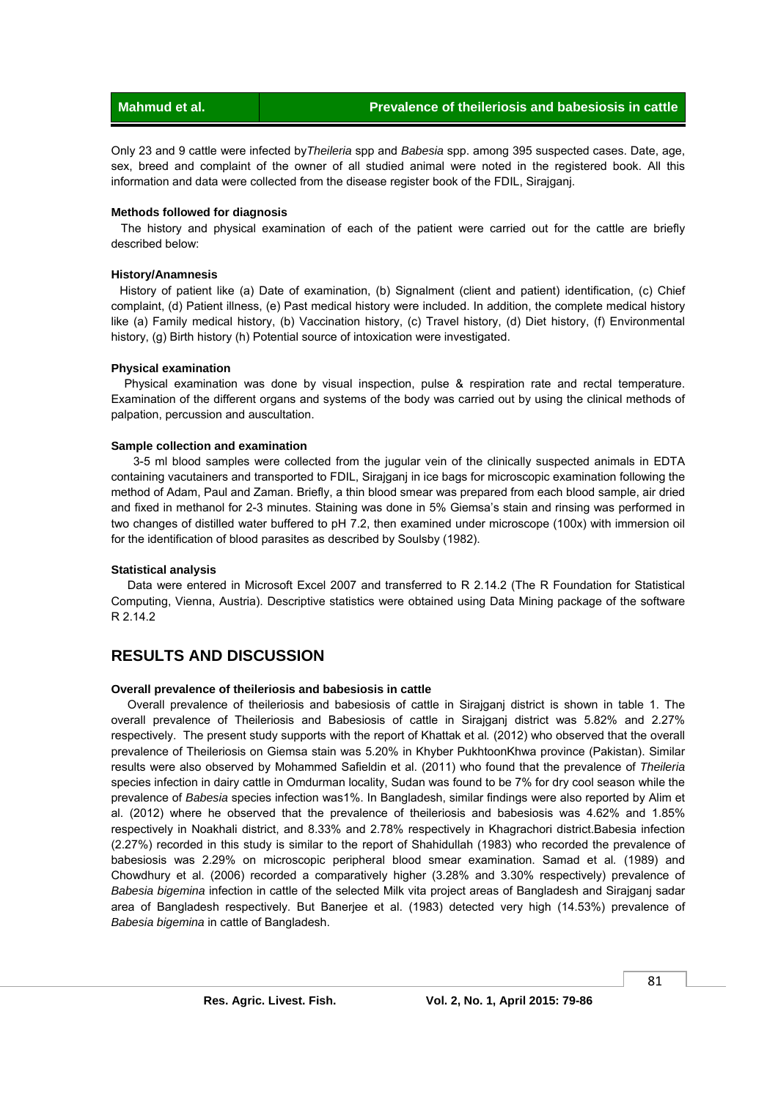Only 23 and 9 cattle were infected by*Theileria* spp and *Babesia* spp. among 395 suspected cases. Date, age, sex, breed and complaint of the owner of all studied animal were noted in the registered book. All this information and data were collected from the disease register book of the FDIL, Sirajganj.

#### **Methods followed for diagnosis**

 The history and physical examination of each of the patient were carried out for the cattle are briefly described below:

#### **History/Anamnesis**

 History of patient like (a) Date of examination, (b) Signalment (client and patient) identification, (c) Chief complaint, (d) Patient illness, (e) Past medical history were included. In addition, the complete medical history like (a) Family medical history, (b) Vaccination history, (c) Travel history, (d) Diet history, (f) Environmental history, (g) Birth history (h) Potential source of intoxication were investigated.

#### **Physical examination**

 Physical examination was done by visual inspection, pulse & respiration rate and rectal temperature. Examination of the different organs and systems of the body was carried out by using the clinical methods of palpation, percussion and auscultation.

#### **Sample collection and examination**

 3-5 ml blood samples were collected from the jugular vein of the clinically suspected animals in EDTA containing vacutainers and transported to FDIL, Sirajganj in ice bags for microscopic examination following the method of Adam, Paul and Zaman. Briefly, a thin blood smear was prepared from each blood sample, air dried and fixed in methanol for 2-3 minutes. Staining was done in 5% Giemsa's stain and rinsing was performed in two changes of distilled water buffered to pH 7.2, then examined under microscope (100x) with immersion oil for the identification of blood parasites as described by Soulsby (1982).

#### **Statistical analysis**

 Data were entered in Microsoft Excel 2007 and transferred to R 2.14.2 (The R Foundation for Statistical Computing, Vienna, Austria). Descriptive statistics were obtained using Data Mining package of the software R 2.14.2

## **RESULTS AND DISCUSSION**

#### **Overall prevalence of theileriosis and babesiosis in cattle**

 Overall prevalence of theileriosis and babesiosis of cattle in Sirajganj district is shown in table 1. The overall prevalence of Theileriosis and Babesiosis of cattle in Sirajganj district was 5.82% and 2.27% respectively. The present study supports with the report of Khattak et al*.* (2012) who observed that the overall prevalence of Theileriosis on Giemsa stain was 5.20% in Khyber PukhtoonKhwa province (Pakistan). Similar results were also observed by Mohammed Safieldin et al. (2011) who found that the prevalence of *Theileria*  species infection in dairy cattle in Omdurman locality, Sudan was found to be 7% for dry cool season while the prevalence of *Babesia* species infection was1%. In Bangladesh, similar findings were also reported by Alim et al. (2012) where he observed that the prevalence of theileriosis and babesiosis was 4.62% and 1.85% respectively in Noakhali district, and 8.33% and 2.78% respectively in Khagrachori district.Babesia infection (2.27%) recorded in this study is similar to the report of Shahidullah (1983) who recorded the prevalence of babesiosis was 2.29% on microscopic peripheral blood smear examination. Samad et al*.* (1989) and Chowdhury et al. (2006) recorded a comparatively higher (3.28% and 3.30% respectively) prevalence of *Babesia bigemina* infection in cattle of the selected Milk vita project areas of Bangladesh and Sirajganj sadar area of Bangladesh respectively. But Banerjee et al. (1983) detected very high (14.53%) prevalence of *Babesia bigemina* in cattle of Bangladesh.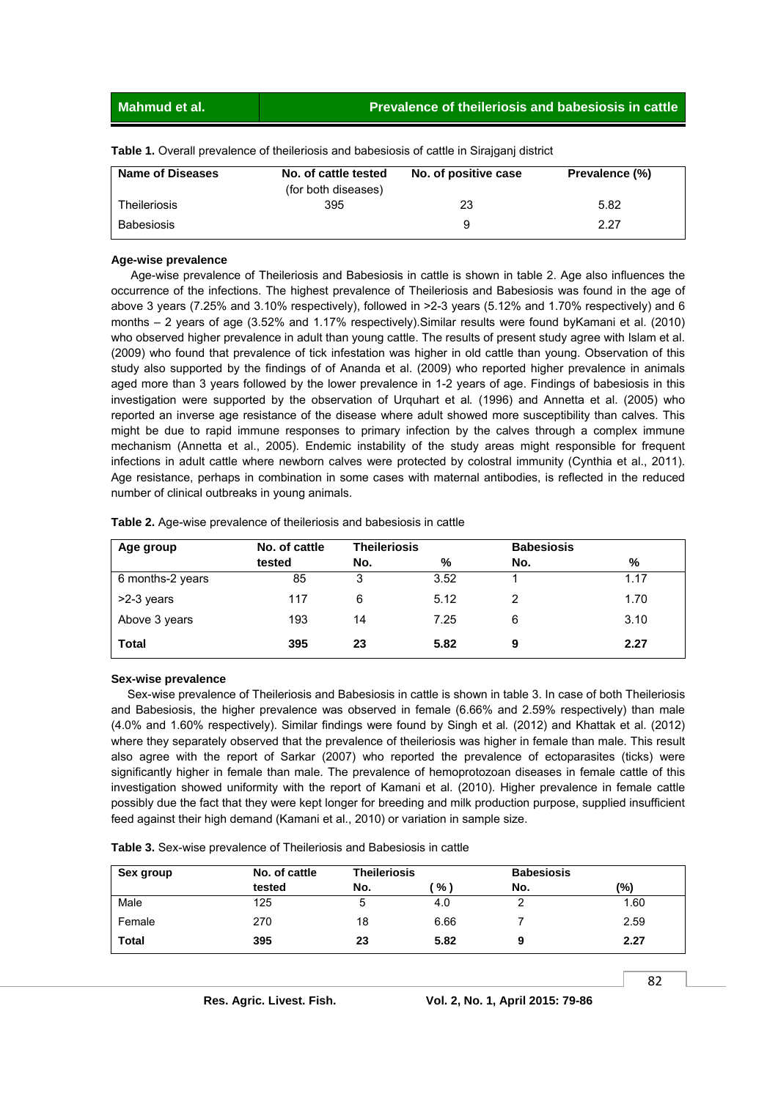**Mahmud et al. Prevalence of theileriosis and babesiosis in cattle**

| <b>Name of Diseases</b> | No. of cattle tested<br>(for both diseases) | No. of positive case | Prevalence (%) |
|-------------------------|---------------------------------------------|----------------------|----------------|
| Theileriosis            | 395                                         | 23                   | 5.82           |
| <b>Babesiosis</b>       |                                             | ч                    | 2.27           |

**Table 1.** Overall prevalence of theileriosis and babesiosis of cattle in Sirajganj district

#### **Age-wise prevalence**

 Age-wise prevalence of Theileriosis and Babesiosis in cattle is shown in table 2. Age also influences the occurrence of the infections. The highest prevalence of Theileriosis and Babesiosis was found in the age of above 3 years (7.25% and 3.10% respectively), followed in >2-3 years (5.12% and 1.70% respectively) and 6 months – 2 years of age (3.52% and 1.17% respectively).Similar results were found byKamani et al. (2010) who observed higher prevalence in adult than young cattle. The results of present study agree with Islam et al. (2009) who found that prevalence of tick infestation was higher in old cattle than young. Observation of this study also supported by the findings of of Ananda et al. (2009) who reported higher prevalence in animals aged more than 3 years followed by the lower prevalence in 1-2 years of age. Findings of babesiosis in this investigation were supported by the observation of Urquhart et al*.* (1996) and Annetta et al. (2005) who reported an inverse age resistance of the disease where adult showed more susceptibility than calves. This might be due to rapid immune responses to primary infection by the calves through a complex immune mechanism (Annetta et al., 2005). Endemic instability of the study areas might responsible for frequent infections in adult cattle where newborn calves were protected by colostral immunity (Cynthia et al., 2011). Age resistance, perhaps in combination in some cases with maternal antibodies, is reflected in the reduced number of clinical outbreaks in young animals.

| Age group        | No. of cattle | <b>Theileriosis</b> |      | <b>Babesiosis</b> |      |
|------------------|---------------|---------------------|------|-------------------|------|
|                  | tested        | No.                 | %    | No.               | %    |
| 6 months-2 years | 85            | 3                   | 3.52 |                   | 1.17 |
| >2-3 years       | 117           | 6                   | 5.12 | 2                 | 1.70 |
| Above 3 years    | 193           | 14                  | 7.25 | 6                 | 3.10 |
| <b>Total</b>     | 395           | 23                  | 5.82 | 9                 | 2.27 |

**Table 2.** Age-wise prevalence of theileriosis and babesiosis in cattle

#### **Sex-wise prevalence**

 Sex-wise prevalence of Theileriosis and Babesiosis in cattle is shown in table 3. In case of both Theileriosis and Babesiosis, the higher prevalence was observed in female (6.66% and 2.59% respectively) than male (4.0% and 1.60% respectively). Similar findings were found by Singh et al*.* (2012) and Khattak et al. (2012) where they separately observed that the prevalence of theileriosis was higher in female than male. This result also agree with the report of Sarkar (2007) who reported the prevalence of ectoparasites (ticks) were significantly higher in female than male. The prevalence of hemoprotozoan diseases in female cattle of this investigation showed uniformity with the report of Kamani et al. (2010). Higher prevalence in female cattle possibly due the fact that they were kept longer for breeding and milk production purpose, supplied insufficient feed against their high demand (Kamani et al., 2010) or variation in sample size.

**Table 3.** Sex-wise prevalence of Theileriosis and Babesiosis in cattle

| Sex group    | No. of cattle | <b>Theileriosis</b> |      | <b>Babesiosis</b> |      |
|--------------|---------------|---------------------|------|-------------------|------|
|              | tested        | No.                 | %    | No.               | (%)  |
| Male         | 125           | 5                   | 4.0  | ົ                 | 1.60 |
| Female       | 270           | 18                  | 6.66 |                   | 2.59 |
| <b>Total</b> | 395           | 23                  | 5.82 | 9                 | 2.27 |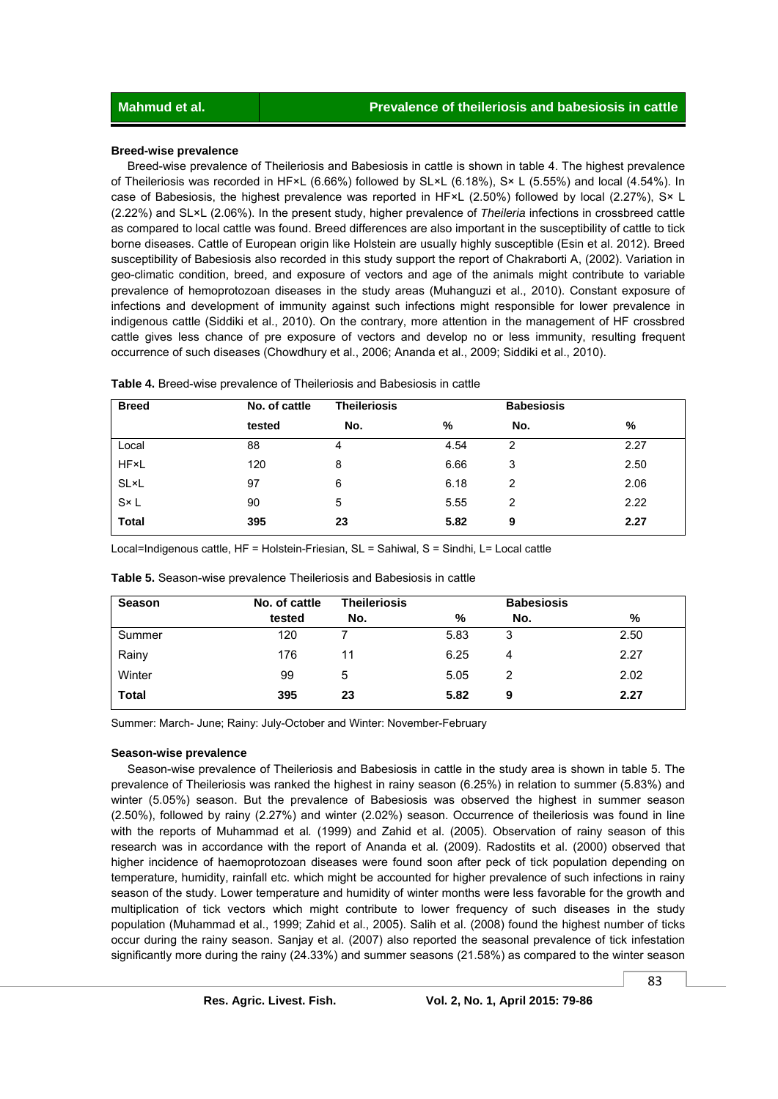#### **Breed-wise prevalence**

 Breed-wise prevalence of Theileriosis and Babesiosis in cattle is shown in table 4. The highest prevalence of Theileriosis was recorded in HF×L (6.66%) followed by SL×L (6.18%), S× L (5.55%) and local (4.54%). In case of Babesiosis, the highest prevalence was reported in HF×L (2.50%) followed by local (2.27%), S× L (2.22%) and SL×L (2.06%). In the present study, higher prevalence of *Theileria* infections in crossbreed cattle as compared to local cattle was found. Breed differences are also important in the susceptibility of cattle to tick borne diseases. Cattle of European origin like Holstein are usually highly susceptible (Esin et al. 2012). Breed susceptibility of Babesiosis also recorded in this study support the report of Chakraborti A, (2002). Variation in geo-climatic condition, breed, and exposure of vectors and age of the animals might contribute to variable prevalence of hemoprotozoan diseases in the study areas (Muhanguzi et al., 2010). Constant exposure of infections and development of immunity against such infections might responsible for lower prevalence in indigenous cattle (Siddiki et al., 2010). On the contrary, more attention in the management of HF crossbred cattle gives less chance of pre exposure of vectors and develop no or less immunity, resulting frequent occurrence of such diseases (Chowdhury et al., 2006; Ananda et al., 2009; Siddiki et al., 2010).

| <b>Breed</b> | No. of cattle | <b>Theileriosis</b> |      | <b>Babesiosis</b> |      |
|--------------|---------------|---------------------|------|-------------------|------|
|              | tested        | No.                 | %    | No.               | %    |
| Local        | 88            | 4                   | 4.54 | 2                 | 2.27 |
| <b>HF</b> ×L | 120           | 8                   | 6.66 | 3                 | 2.50 |
| SL×L         | 97            | 6                   | 6.18 | 2                 | 2.06 |
| $S \times L$ | 90            | 5                   | 5.55 | 2                 | 2.22 |
| <b>Total</b> | 395           | 23                  | 5.82 | 9                 | 2.27 |

Local=Indigenous cattle, HF = Holstein-Friesian, SL = Sahiwal, S = Sindhi, L= Local cattle

| <b>Season</b> | No. of cattle | <b>Theileriosis</b><br><b>Babesiosis</b> |      |     |      |
|---------------|---------------|------------------------------------------|------|-----|------|
|               | tested        | No.                                      | %    | No. | %    |
| Summer        | 120           |                                          | 5.83 | 3   | 2.50 |
| Rainy         | 176           | 11                                       | 6.25 | 4   | 2.27 |
| Winter        | 99            | 5                                        | 5.05 | 2   | 2.02 |
| <b>Total</b>  | 395           | 23                                       | 5.82 | 9   | 2.27 |

**Table 5.** Season-wise prevalence Theileriosis and Babesiosis in cattle

Summer: March- June; Rainy: July-October and Winter: November-February

#### **Season-wise prevalence**

 Season-wise prevalence of Theileriosis and Babesiosis in cattle in the study area is shown in table 5. The prevalence of Theileriosis was ranked the highest in rainy season (6.25%) in relation to summer (5.83%) and winter (5.05%) season. But the prevalence of Babesiosis was observed the highest in summer season (2.50%), followed by rainy (2.27%) and winter (2.02%) season. Occurrence of theileriosis was found in line with the reports of Muhammad et al*.* (1999) and Zahid et al. (2005). Observation of rainy season of this research was in accordance with the report of Ananda et al*.* (2009). Radostits et al. (2000) observed that higher incidence of haemoprotozoan diseases were found soon after peck of tick population depending on temperature, humidity, rainfall etc. which might be accounted for higher prevalence of such infections in rainy season of the study. Lower temperature and humidity of winter months were less favorable for the growth and multiplication of tick vectors which might contribute to lower frequency of such diseases in the study population (Muhammad et al., 1999; Zahid et al., 2005). Salih et al. (2008) found the highest number of ticks occur during the rainy season. Sanjay et al. (2007) also reported the seasonal prevalence of tick infestation significantly more during the rainy (24.33%) and summer seasons (21.58%) as compared to the winter season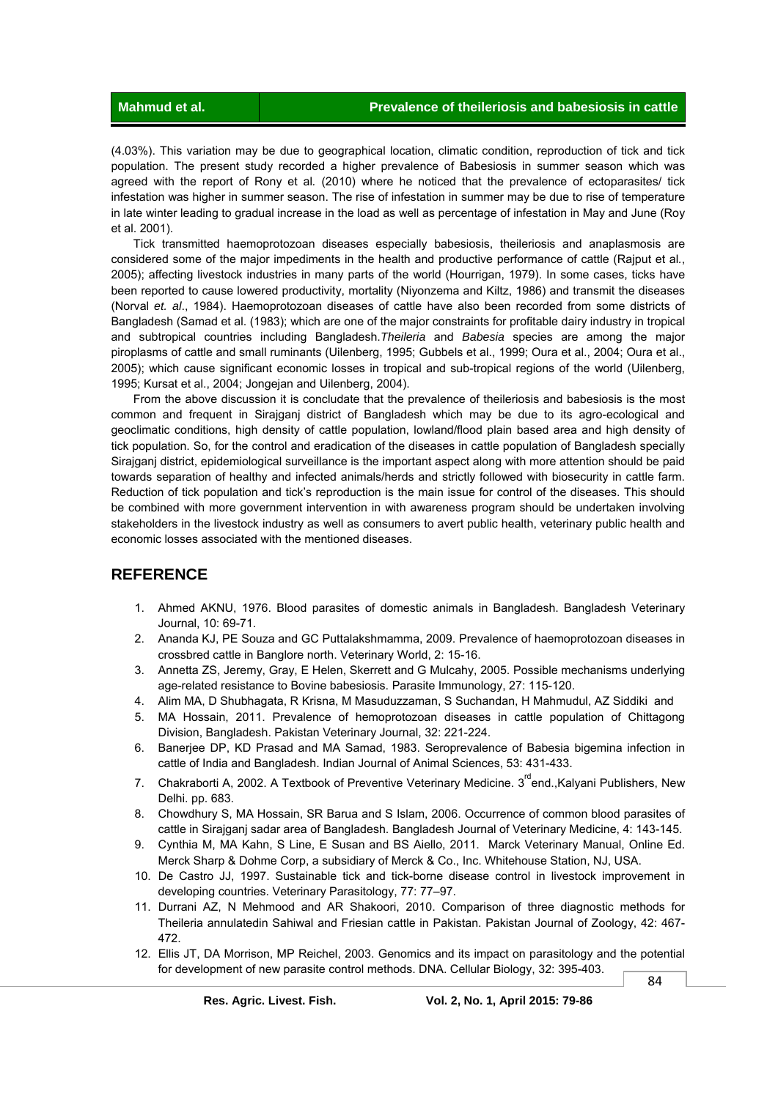(4.03%). This variation may be due to geographical location, climatic condition, reproduction of tick and tick population. The present study recorded a higher prevalence of Babesiosis in summer season which was agreed with the report of Rony et al*.* (2010) where he noticed that the prevalence of ectoparasites/ tick infestation was higher in summer season. The rise of infestation in summer may be due to rise of temperature in late winter leading to gradual increase in the load as well as percentage of infestation in May and June (Roy et al. 2001).

 Tick transmitted haemoprotozoan diseases especially babesiosis, theileriosis and anaplasmosis are considered some of the major impediments in the health and productive performance of cattle (Rajput et al*.*, 2005); affecting livestock industries in many parts of the world (Hourrigan, 1979). In some cases, ticks have been reported to cause lowered productivity, mortality (Niyonzema and Kiltz, 1986) and transmit the diseases (Norval *et. al*., 1984). Haemoprotozoan diseases of cattle have also been recorded from some districts of Bangladesh (Samad et al. (1983); which are one of the major constraints for profitable dairy industry in tropical and subtropical countries including Bangladesh.*Theileria* and *Babesia* species are among the major piroplasms of cattle and small ruminants (Uilenberg, 1995; Gubbels et al., 1999; Oura et al., 2004; Oura et al., 2005); which cause significant economic losses in tropical and sub-tropical regions of the world (Uilenberg, 1995; Kursat et al., 2004; Jongejan and Uilenberg, 2004).

 From the above discussion it is concludate that the prevalence of theileriosis and babesiosis is the most common and frequent in Sirajganj district of Bangladesh which may be due to its agro-ecological and geoclimatic conditions, high density of cattle population, lowland/flood plain based area and high density of tick population. So, for the control and eradication of the diseases in cattle population of Bangladesh specially Sirajganj district, epidemiological surveillance is the important aspect along with more attention should be paid towards separation of healthy and infected animals/herds and strictly followed with biosecurity in cattle farm. Reduction of tick population and tick's reproduction is the main issue for control of the diseases. This should be combined with more government intervention in with awareness program should be undertaken involving stakeholders in the livestock industry as well as consumers to avert public health, veterinary public health and economic losses associated with the mentioned diseases.

### **REFERENCE**

- 1. Ahmed AKNU, 1976. Blood parasites of domestic animals in Bangladesh. Bangladesh Veterinary Journal, 10: 69-71.
- 2. Ananda KJ, PE Souza and GC Puttalakshmamma, 2009. Prevalence of haemoprotozoan diseases in crossbred cattle in Banglore north. Veterinary World, 2: 15-16.
- 3. Annetta ZS, Jeremy, Gray, E Helen, Skerrett and G Mulcahy, 2005. Possible mechanisms underlying age-related resistance to Bovine babesiosis. Parasite Immunology, 27: 115-120.
- 4. Alim MA, D Shubhagata, R Krisna, M Masuduzzaman, S Suchandan, H Mahmudul, AZ Siddiki and
- 5. MA Hossain, 2011. Prevalence of hemoprotozoan diseases in cattle population of Chittagong Division, Bangladesh. Pakistan Veterinary Journal, 32: 221-224.
- 6. Banerjee DP, KD Prasad and MA Samad, 1983. Seroprevalence of Babesia bigemina infection in cattle of India and Bangladesh. Indian Journal of Animal Sciences, 53: 431-433.
- 7. Chakraborti A, 2002. A Textbook of Preventive Veterinary Medicine. 3<sup>rd</sup>end., Kalyani Publishers, New Delhi. pp. 683.
- 8. Chowdhury S, MA Hossain, SR Barua and S Islam, 2006. Occurrence of common blood parasites of cattle in Sirajganj sadar area of Bangladesh. Bangladesh Journal of Veterinary Medicine, 4: 143-145.
- 9. Cynthia M, MA Kahn, S Line, E Susan and BS Aiello, 2011. Marck Veterinary Manual, Online Ed. Merck Sharp & Dohme Corp, a subsidiary of Merck & Co., Inc. Whitehouse Station, NJ, USA.
- 10. De Castro JJ, 1997. Sustainable tick and tick-borne disease control in livestock improvement in developing countries. Veterinary Parasitology, 77: 77–97.
- 11. Durrani AZ, N Mehmood and AR Shakoori, 2010. Comparison of three diagnostic methods for Theileria annulatedin Sahiwal and Friesian cattle in Pakistan. Pakistan Journal of Zoology, 42: 467- 472.
- 12. Ellis JT, DA Morrison, MP Reichel, 2003. Genomics and its impact on parasitology and the potential for development of new parasite control methods. DNA. Cellular Biology, 32: 395-403.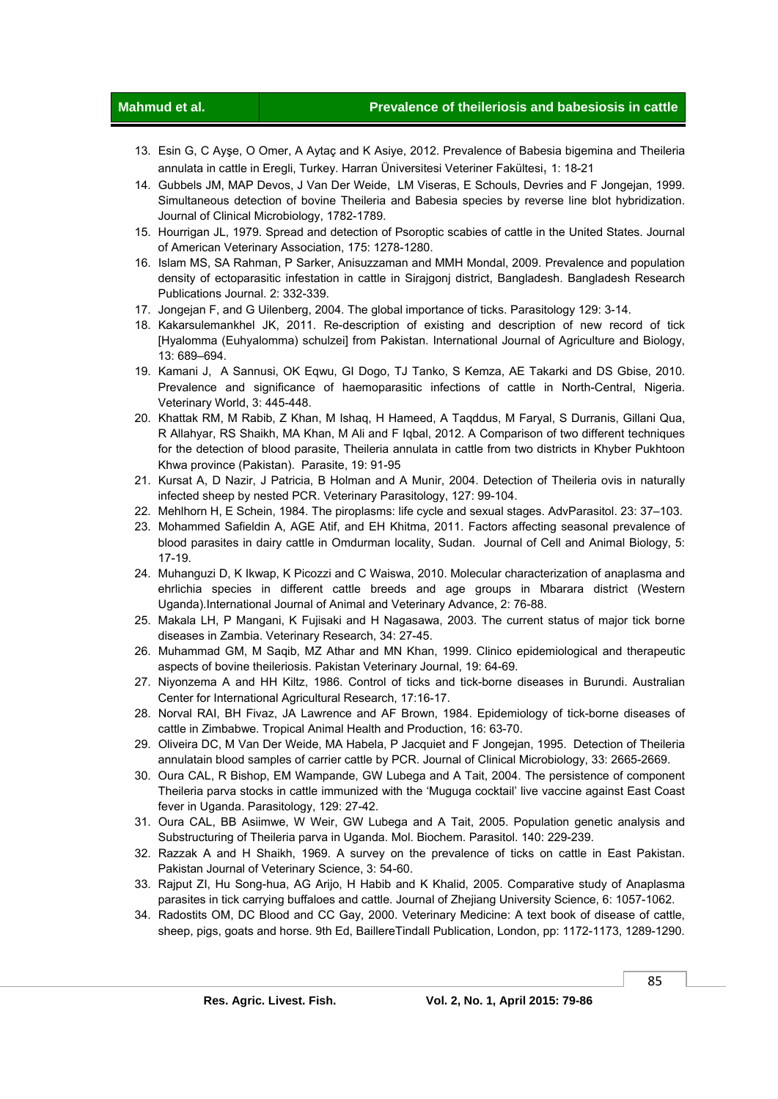#### **Mahmud et al. Prevalence of theileriosis and babesiosis in cattle**

- 13. Esin G, C Ayşe, O Omer, A Aytaç and K Asiye, 2012. Prevalence of Babesia bigemina and Theileria annulata in cattle in Eregli, Turkey. Harran Üniversitesi Veteriner Fakültesi**,** 1: 18-21
- 14. Gubbels JM, MAP Devos, J Van Der Weide, LM Viseras, E Schouls, Devries and F Jongejan, 1999. Simultaneous detection of bovine Theileria and Babesia species by reverse line blot hybridization. Journal of Clinical Microbiology, 1782-1789.
- 15. Hourrigan JL, 1979. Spread and detection of Psoroptic scabies of cattle in the United States. Journal of American Veterinary Association, 175: 1278-1280.
- 16. Islam MS, SA Rahman, P Sarker, Anisuzzaman and MMH Mondal, 2009. Prevalence and population density of ectoparasitic infestation in cattle in Sirajgonj district, Bangladesh. Bangladesh Research Publications Journal. 2: 332-339.
- 17. Jongejan F, and G Uilenberg, 2004. The global importance of ticks. Parasitology 129: 3-14.
- 18. Kakarsulemankhel JK, 2011. Re-description of existing and description of new record of tick [Hyalomma (Euhyalomma) schulzei] from Pakistan. International Journal of Agriculture and Biology, 13: 689–694.
- 19. Kamani J, A Sannusi, OK Eqwu, GI Dogo, TJ Tanko, S Kemza, AE Takarki and DS Gbise, 2010. Prevalence and significance of haemoparasitic infections of cattle in North-Central, Nigeria. Veterinary World, 3: 445-448.
- 20. Khattak RM, M Rabib, Z Khan, M Ishaq, H Hameed, A Taqddus, M Faryal, S Durranis, Gillani Qua, R Allahyar, RS Shaikh, MA Khan, M Ali and F Iqbal, 2012. A Comparison of two different techniques for the detection of blood parasite, Theileria annulata in cattle from two districts in Khyber Pukhtoon Khwa province (Pakistan). Parasite, 19: 91-95
- 21. Kursat A, D Nazir, J Patricia, B Holman and A Munir, 2004. Detection of Theileria ovis in naturally infected sheep by nested PCR. Veterinary Parasitology, 127: 99-104.
- 22. Mehlhorn H, E Schein, 1984. The piroplasms: life cycle and sexual stages. AdvParasitol. 23: 37–103.
- 23. Mohammed Safieldin A, AGE Atif, and EH Khitma, 2011. Factors affecting seasonal prevalence of blood parasites in dairy cattle in Omdurman locality, Sudan. Journal of Cell and Animal Biology, 5: 17-19.
- 24. Muhanguzi D, K Ikwap, K Picozzi and C Waiswa, 2010. Molecular characterization of anaplasma and ehrlichia species in different cattle breeds and age groups in Mbarara district (Western Uganda).International Journal of Animal and Veterinary Advance, 2: 76-88.
- 25. Makala LH, P Mangani, K Fujisaki and H Nagasawa, 2003. The current status of major tick borne diseases in Zambia. Veterinary Research, 34: 27-45.
- 26. Muhammad GM, M Saqib, MZ Athar and MN Khan, 1999. Clinico epidemiological and therapeutic aspects of bovine theileriosis. Pakistan Veterinary Journal, 19: 64-69.
- 27. Niyonzema A and HH Kiltz, 1986. Control of ticks and tick-borne diseases in Burundi. Australian Center for International Agricultural Research, 17:16-17.
- 28. Norval RAI, BH Fivaz, JA Lawrence and AF Brown, 1984. Epidemiology of tick-borne diseases of cattle in Zimbabwe. Tropical Animal Health and Production, 16: 63-70.
- 29. Oliveira DC, M Van Der Weide, MA Habela, P Jacquiet and F Jongejan, 1995. Detection of Theileria annulatain blood samples of carrier cattle by PCR. Journal of Clinical Microbiology, 33: 2665-2669.
- 30. Oura CAL, R Bishop, EM Wampande, GW Lubega and A Tait, 2004. The persistence of component Theileria parva stocks in cattle immunized with the 'Muguga cocktail' live vaccine against East Coast fever in Uganda. Parasitology, 129: 27-42.
- 31. Oura CAL, BB Asiimwe, W Weir, GW Lubega and A Tait, 2005. Population genetic analysis and Substructuring of Theileria parva in Uganda. Mol. Biochem. Parasitol. 140: 229-239.
- 32. Razzak A and H Shaikh, 1969. A survey on the prevalence of ticks on cattle in East Pakistan. Pakistan Journal of Veterinary Science, 3: 54-60.
- 33. Rajput ZI, Hu Song-hua, AG Arijo, H Habib and K Khalid, 2005. Comparative study of Anaplasma parasites in tick carrying buffaloes and cattle. Journal of Zhejiang University Science, 6: 1057-1062.
- 34. Radostits OM, DC Blood and CC Gay, 2000. Veterinary Medicine: A text book of disease of cattle, sheep, pigs, goats and horse. 9th Ed, BaillereTindall Publication, London, pp: 1172-1173, 1289-1290.